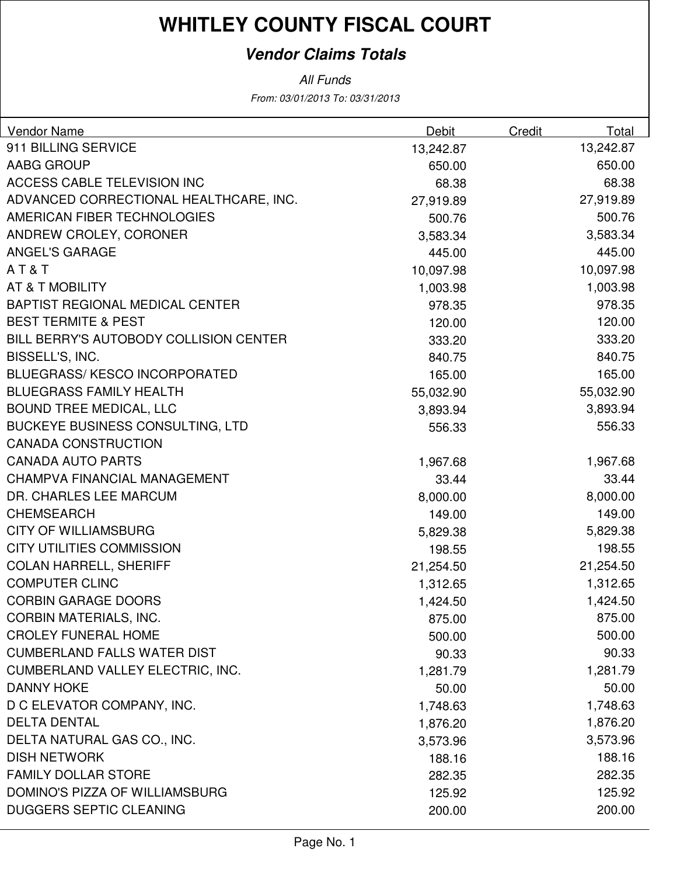### **Vendor Claims Totals**

| <b>Vendor Name</b>                      | <b>Debit</b> | Credit | Total     |
|-----------------------------------------|--------------|--------|-----------|
| 911 BILLING SERVICE                     | 13,242.87    |        | 13,242.87 |
| AABG GROUP                              | 650.00       |        | 650.00    |
| ACCESS CABLE TELEVISION INC             | 68.38        |        | 68.38     |
| ADVANCED CORRECTIONAL HEALTHCARE, INC.  | 27,919.89    |        | 27,919.89 |
| AMERICAN FIBER TECHNOLOGIES             | 500.76       |        | 500.76    |
| ANDREW CROLEY, CORONER                  | 3,583.34     |        | 3,583.34  |
| <b>ANGEL'S GARAGE</b>                   | 445.00       |        | 445.00    |
| AT&T                                    | 10,097.98    |        | 10,097.98 |
| AT & T MOBILITY                         | 1,003.98     |        | 1,003.98  |
| BAPTIST REGIONAL MEDICAL CENTER         | 978.35       |        | 978.35    |
| <b>BEST TERMITE &amp; PEST</b>          | 120.00       |        | 120.00    |
| BILL BERRY'S AUTOBODY COLLISION CENTER  | 333.20       |        | 333.20    |
| BISSELL'S, INC.                         | 840.75       |        | 840.75    |
| <b>BLUEGRASS/KESCO INCORPORATED</b>     | 165.00       |        | 165.00    |
| <b>BLUEGRASS FAMILY HEALTH</b>          | 55,032.90    |        | 55,032.90 |
| <b>BOUND TREE MEDICAL, LLC</b>          | 3,893.94     |        | 3,893.94  |
| <b>BUCKEYE BUSINESS CONSULTING, LTD</b> | 556.33       |        | 556.33    |
| <b>CANADA CONSTRUCTION</b>              |              |        |           |
| <b>CANADA AUTO PARTS</b>                | 1,967.68     |        | 1,967.68  |
| <b>CHAMPVA FINANCIAL MANAGEMENT</b>     | 33.44        |        | 33.44     |
| DR. CHARLES LEE MARCUM                  | 8,000.00     |        | 8,000.00  |
| <b>CHEMSEARCH</b>                       | 149.00       |        | 149.00    |
| <b>CITY OF WILLIAMSBURG</b>             | 5,829.38     |        | 5,829.38  |
| <b>CITY UTILITIES COMMISSION</b>        | 198.55       |        | 198.55    |
| <b>COLAN HARRELL, SHERIFF</b>           | 21,254.50    |        | 21,254.50 |
| <b>COMPUTER CLINC</b>                   | 1,312.65     |        | 1,312.65  |
| <b>CORBIN GARAGE DOORS</b>              | 1,424.50     |        | 1,424.50  |
| <b>CORBIN MATERIALS, INC.</b>           | 875.00       |        | 875.00    |
| <b>CROLEY FUNERAL HOME</b>              | 500.00       |        | 500.00    |
| <b>CUMBERLAND FALLS WATER DIST</b>      | 90.33        |        | 90.33     |
| CUMBERLAND VALLEY ELECTRIC, INC.        | 1,281.79     |        | 1,281.79  |
| <b>DANNY HOKE</b>                       | 50.00        |        | 50.00     |
| D C ELEVATOR COMPANY, INC.              | 1,748.63     |        | 1,748.63  |
| <b>DELTA DENTAL</b>                     | 1,876.20     |        | 1,876.20  |
| DELTA NATURAL GAS CO., INC.             | 3,573.96     |        | 3,573.96  |
| <b>DISH NETWORK</b>                     | 188.16       |        | 188.16    |
| <b>FAMILY DOLLAR STORE</b>              | 282.35       |        | 282.35    |
| DOMINO'S PIZZA OF WILLIAMSBURG          | 125.92       |        | 125.92    |
| <b>DUGGERS SEPTIC CLEANING</b>          | 200.00       |        | 200.00    |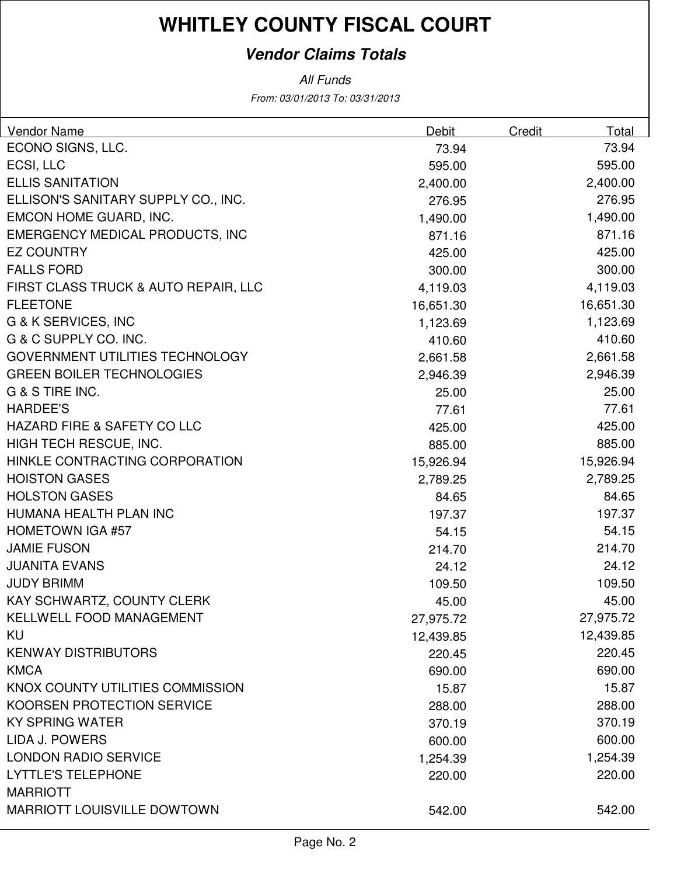### **Vendor Claims Totals**

| <b>Vendor Name</b>                           | Debit     | Credit | Total     |
|----------------------------------------------|-----------|--------|-----------|
| ECONO SIGNS, LLC.                            | 73.94     |        | 73.94     |
| ECSI, LLC                                    | 595.00    |        | 595.00    |
| <b>ELLIS SANITATION</b>                      | 2,400.00  |        | 2,400.00  |
| ELLISON'S SANITARY SUPPLY CO., INC.          | 276.95    |        | 276.95    |
| EMCON HOME GUARD, INC.                       | 1,490.00  |        | 1,490.00  |
| EMERGENCY MEDICAL PRODUCTS, INC              | 871.16    |        | 871.16    |
| <b>EZ COUNTRY</b>                            | 425.00    |        | 425.00    |
| <b>FALLS FORD</b>                            | 300.00    |        | 300.00    |
| FIRST CLASS TRUCK & AUTO REPAIR, LLC         | 4,119.03  |        | 4,119.03  |
| <b>FLEETONE</b>                              | 16,651.30 |        | 16,651.30 |
| G & K SERVICES, INC                          | 1,123.69  |        | 1,123.69  |
| G & C SUPPLY CO. INC.                        | 410.60    |        | 410.60    |
| GOVERNMENT UTILITIES TECHNOLOGY              | 2,661.58  |        | 2,661.58  |
| <b>GREEN BOILER TECHNOLOGIES</b>             | 2,946.39  |        | 2,946.39  |
| G & S TIRE INC.                              | 25.00     |        | 25.00     |
| <b>HARDEE'S</b>                              | 77.61     |        | 77.61     |
| HAZARD FIRE & SAFETY CO LLC                  | 425.00    |        | 425.00    |
| HIGH TECH RESCUE, INC.                       | 885.00    |        | 885.00    |
| HINKLE CONTRACTING CORPORATION               | 15,926.94 |        | 15,926.94 |
| <b>HOISTON GASES</b>                         | 2,789.25  |        | 2,789.25  |
| <b>HOLSTON GASES</b>                         | 84.65     |        | 84.65     |
| HUMANA HEALTH PLAN INC                       | 197.37    |        | 197.37    |
| <b>HOMETOWN IGA #57</b>                      | 54.15     |        | 54.15     |
| <b>JAMIE FUSON</b>                           | 214.70    |        | 214.70    |
| <b>JUANITA EVANS</b>                         | 24.12     |        | 24.12     |
| <b>JUDY BRIMM</b>                            | 109.50    |        | 109.50    |
| KAY SCHWARTZ, COUNTY CLERK                   | 45.00     |        | 45.00     |
| <b>KELLWELL FOOD MANAGEMENT</b>              | 27,975.72 |        | 27,975.72 |
| <b>KU</b>                                    | 12,439.85 |        | 12,439.85 |
| <b>KENWAY DISTRIBUTORS</b>                   | 220.45    |        | 220.45    |
| <b>KMCA</b>                                  | 690.00    |        | 690.00    |
| KNOX COUNTY UTILITIES COMMISSION             | 15.87     |        | 15.87     |
| <b>KOORSEN PROTECTION SERVICE</b>            | 288.00    |        | 288.00    |
| <b>KY SPRING WATER</b>                       | 370.19    |        | 370.19    |
| LIDA J. POWERS                               | 600.00    |        | 600.00    |
| <b>LONDON RADIO SERVICE</b>                  | 1,254.39  |        | 1,254.39  |
| <b>LYTTLE'S TELEPHONE</b><br><b>MARRIOTT</b> | 220.00    |        | 220.00    |
| <b>MARRIOTT LOUISVILLE DOWTOWN</b>           | 542.00    |        | 542.00    |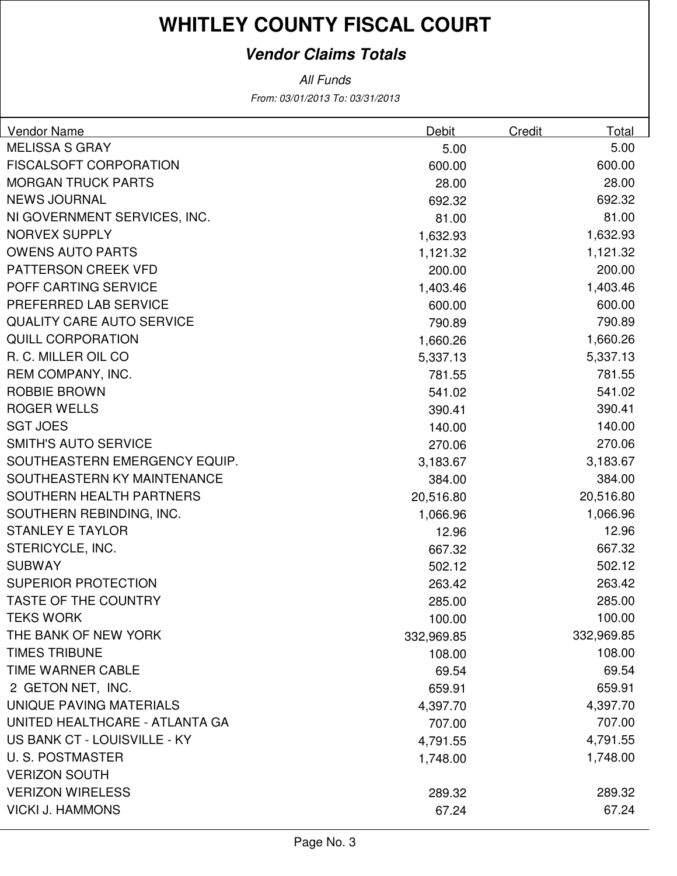### **Vendor Claims Totals**

| Vendor Name                      | <b>Debit</b> | Credit | Total      |
|----------------------------------|--------------|--------|------------|
| <b>MELISSA S GRAY</b>            | 5.00         |        | 5.00       |
| <b>FISCALSOFT CORPORATION</b>    | 600.00       |        | 600.00     |
| <b>MORGAN TRUCK PARTS</b>        | 28.00        |        | 28.00      |
| <b>NEWS JOURNAL</b>              | 692.32       |        | 692.32     |
| NI GOVERNMENT SERVICES, INC.     | 81.00        |        | 81.00      |
| <b>NORVEX SUPPLY</b>             | 1,632.93     |        | 1,632.93   |
| <b>OWENS AUTO PARTS</b>          | 1,121.32     |        | 1,121.32   |
| PATTERSON CREEK VFD              | 200.00       |        | 200.00     |
| POFF CARTING SERVICE             | 1,403.46     |        | 1,403.46   |
| PREFERRED LAB SERVICE            | 600.00       |        | 600.00     |
| <b>QUALITY CARE AUTO SERVICE</b> | 790.89       |        | 790.89     |
| <b>QUILL CORPORATION</b>         | 1,660.26     |        | 1,660.26   |
| R. C. MILLER OIL CO              | 5,337.13     |        | 5,337.13   |
| REM COMPANY, INC.                | 781.55       |        | 781.55     |
| <b>ROBBIE BROWN</b>              | 541.02       |        | 541.02     |
| <b>ROGER WELLS</b>               | 390.41       |        | 390.41     |
| <b>SGT JOES</b>                  | 140.00       |        | 140.00     |
| <b>SMITH'S AUTO SERVICE</b>      | 270.06       |        | 270.06     |
| SOUTHEASTERN EMERGENCY EQUIP.    | 3,183.67     |        | 3,183.67   |
| SOUTHEASTERN KY MAINTENANCE      | 384.00       |        | 384.00     |
| SOUTHERN HEALTH PARTNERS         | 20,516.80    |        | 20,516.80  |
| SOUTHERN REBINDING, INC.         | 1,066.96     |        | 1,066.96   |
| <b>STANLEY E TAYLOR</b>          | 12.96        |        | 12.96      |
| STERICYCLE, INC.                 | 667.32       |        | 667.32     |
| <b>SUBWAY</b>                    | 502.12       |        | 502.12     |
| <b>SUPERIOR PROTECTION</b>       | 263.42       |        | 263.42     |
| TASTE OF THE COUNTRY             | 285.00       |        | 285.00     |
| <b>TEKS WORK</b>                 | 100.00       |        | 100.00     |
| THE BANK OF NEW YORK             | 332,969.85   |        | 332,969.85 |
| <b>TIMES TRIBUNE</b>             | 108.00       |        | 108.00     |
| <b>TIME WARNER CABLE</b>         | 69.54        |        | 69.54      |
| 2 GETON NET, INC.                | 659.91       |        | 659.91     |
| UNIQUE PAVING MATERIALS          | 4,397.70     |        | 4,397.70   |
| UNITED HEALTHCARE - ATLANTA GA   | 707.00       |        | 707.00     |
| US BANK CT - LOUISVILLE - KY     | 4,791.55     |        | 4,791.55   |
| <b>U.S. POSTMASTER</b>           | 1,748.00     |        | 1,748.00   |
| <b>VERIZON SOUTH</b>             |              |        |            |
| <b>VERIZON WIRELESS</b>          | 289.32       |        | 289.32     |
| <b>VICKI J. HAMMONS</b>          | 67.24        |        | 67.24      |